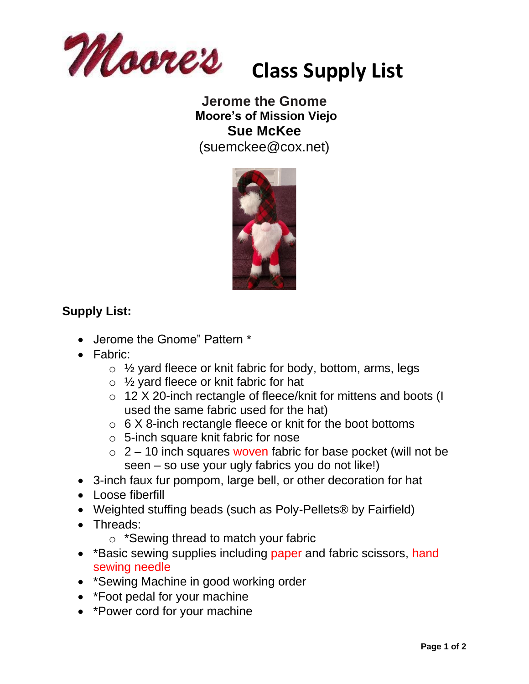

## **Jerome the Gnome Moore's of Mission Viejo Sue McKee** (suemckee@cox.net)



# **Supply List:**

- Jerome the Gnome" Pattern \*
- Fabric:
	- $\circ$  1/<sub>2</sub> yard fleece or knit fabric for body, bottom, arms, legs
	- o ½ yard fleece or knit fabric for hat
	- o 12 X 20-inch rectangle of fleece/knit for mittens and boots (I used the same fabric used for the hat)
	- $\circ$  6 X 8-inch rectangle fleece or knit for the boot bottoms
	- o 5-inch square knit fabric for nose
	- $\circ$  2 10 inch squares woven fabric for base pocket (will not be seen – so use your ugly fabrics you do not like!)
- 3-inch faux fur pompom, large bell, or other decoration for hat
- Loose fiberfill
- Weighted stuffing beads (such as Poly-Pellets® by Fairfield)
- Threads:
	- o \*Sewing thread to match your fabric
- \* Basic sewing supplies including paper and fabric scissors, hand sewing needle
- \*Sewing Machine in good working order
- \*Foot pedal for your machine
- \*Power cord for your machine